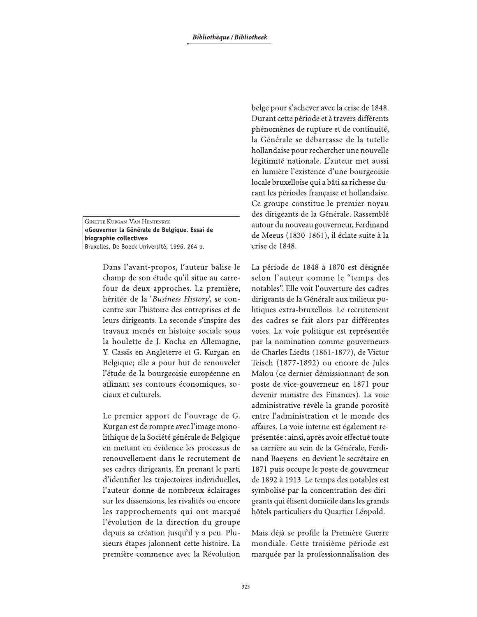**GINETTE KURGAN-VAN HENTENRYK** «Gouverner la Générale de Belgique. Essai de biographie collective» Bruxelles, De Boeck Université, 1996, 264 p.

> Dans l'avant-propos, l'auteur balise le champ de son étude qu'il situe au carrefour de deux approches. La première, héritée de la 'Business History', se concentre sur l'histoire des entreprises et de leurs dirigeants. La seconde s'inspire des travaux menés en histoire sociale sous la houlette de J. Kocha en Allemagne, Y. Cassis en Angleterre et G. Kurgan en Belgique; elle a pour but de renouveler l'étude de la bourgeoisie européenne en affinant ses contours économiques, sociaux et culturels.

> Le premier apport de l'ouvrage de G. Kurgan est de rompre avec l'image monolithique de la Société générale de Belgique en mettant en évidence les processus de renouvellement dans le recrutement de ses cadres dirigeants. En prenant le parti d'identifier les trajectoires individuelles, l'auteur donne de nombreux éclairages sur les dissensions, les rivalités ou encore les rapprochements qui ont marqué l'évolution de la direction du groupe depuis sa création jusqu'il y a peu. Plusieurs étapes jalonnent cette histoire. La première commence avec la Révolution

belge pour s'achever avec la crise de 1848. Durant cette période et à travers différents phénomènes de rupture et de continuité, la Générale se débarrasse de la tutelle hollandaise pour rechercher une nouvelle légitimité nationale. L'auteur met aussi en lumière l'existence d'une bourgeoisie locale bruxelloise qui a bâti sa richesse durant les périodes française et hollandaise. Ce groupe constitue le premier noyau des dirigeants de la Générale. Rassemblé autour du nouveau gouverneur, Ferdinand de Meeus (1830-1861), il éclate suite à la crise de 1848.

La période de 1848 à 1870 est désignée selon l'auteur comme le "temps des notables". Elle voit l'ouverture des cadres dirigeants de la Générale aux milieux politiques extra-bruxellois. Le recrutement des cadres se fait alors par différentes voies. La voie politique est représentée par la nomination comme gouverneurs de Charles Liedts (1861-1877), de Victor Teisch (1877-1892) ou encore de Jules Malou (ce dernier démissionnant de son poste de vice-gouverneur en 1871 pour devenir ministre des Finances). La voie administrative révèle la grande porosité entre l'administration et le monde des affaires. La voie interne est également représentée : ainsi, après avoir effectué toute sa carrière au sein de la Générale, Ferdinand Baeyens en devient le secrétaire en 1871 puis occupe le poste de gouverneur de 1892 à 1913. Le temps des notables est symbolisé par la concentration des dirigeants qui élisent domicile dans les grands hôtels particuliers du Quartier Léopold.

Mais déjà se profile la Première Guerre mondiale. Cette troisième période est marquée par la professionnalisation des